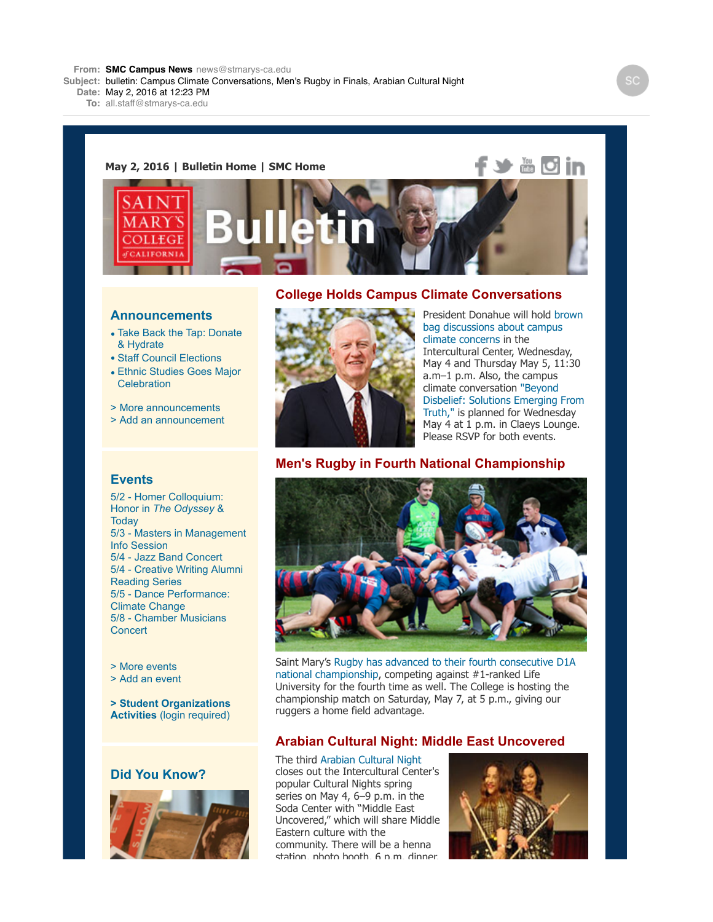**Subject:** bulletin: Campus Climate Conversations, Men's Rugby in Finals, Arabian Cultural Night

**Date:** May 2, 2016 at 12:23 PM

**To:** all.staff@stmarys-ca.edu

#### **May 2, 2016 | [Bulletin Home](http://www.stmarys-ca.edu/smc-bulletin?utm_source=Bulletin&utm_medium=email&utm_content=headerlinks_staff&utm_campaign=05-02-2016) | [SMC Home](http://www.stmarys-ca.edu/?utm_source=Bulletin&utm_medium=email&utm_content=headerlinks_staff&utm_campaign=05-02-2016)**





### **Announcements**

- [Take Back the Tap: Donate](https://www.stmarys-ca.edu/take-back-the-tap-donate-then-hydrate?utm_source=Bulletin&utm_medium=email&utm_content=announcement_staff&utm_campaign=05-02-2016) & Hydrate
- [Staff Council Elections](https://www.stmarys-ca.edu/staff-council-elections?utm_source=Bulletin&utm_medium=email&utm_content=announcement_staff&utm_campaign=05-02-2016)
- [Ethnic Studies Goes Major](https://www.stmarys-ca.edu/ethnic-studies-goes-major-celebration-0?utm_source=Bulletin&utm_medium=email&utm_content=announcement_staff&utm_campaign=05-02-2016) **Celebration**
- [> More announcements](http://www.stmarys-ca.edu/smc-bulletin/announcements?utm_source=Bulletin&utm_medium=email&utm_content=announcement_staff&utm_campaign=05-02-2016)
- [> Add an announcement](http://www.stmarys-ca.edu/node/add/announcement?utm_source=Bulletin&utm_medium=email&utm_content=announcement_staff&utm_campaign=05-02-2016)

#### **Events**

[5/2 - Homer Colloquium:](https://www.stmarys-ca.edu/homer-colloquium-questions-of-honor-in-the-odyssey-today-001-102?utm_source=Bulletin&utm_medium=email&utm_content=event_staff&utm_campaign=05-02-2016) Honor in *The Odyssey* & **Today** 5/3 [- Masters in Management](https://www.stmarys-ca.edu/masters-in-management-information-session-w-faculty-director-natashi-munshi?utm_source=Bulletin&utm_medium=email&utm_content=event_staff&utm_campaign=05-02-2016) Info Session 5/4 - [Jazz Band Concert](https://www.stmarys-ca.edu/jazz-band-concert-1?utm_source=Bulletin&utm_medium=email&utm_content=event_staff&utm_campaign=05-02-2016) [5/4 - Creative Writing Alumni](https://www.stmarys-ca.edu/creative-writing-reading-series-alumni-reading-with-brenda-hillman-andrew-kenower?utm_source=Bulletin&utm_medium=email&utm_content=event_staff&utm_campaign=05-02-2016) Reading Series [5/5 - Dance Performance:](https://www.stmarys-ca.edu/dance-climate-change?utm_source=Bulletin&utm_medium=email&utm_content=event_staff&utm_campaign=05-02-2016) Climate Change [5/8 - Chamber Musicians](https://www.stmarys-ca.edu/chamber-musicians-concert-0?utm_source=Bulletin&utm_medium=email&utm_content=event_staff&utm_campaign=05-02-2016) **Concert** 

[> More events](http://www.stmarys-ca.edu/events?utm_source=Bulletin&utm_medium=email&utm_content=event_staff&utm_campaign=05-02-2016)

- [> Add an event](http://www.stmarys-ca.edu/node/add/calendar-event?utm_source=Bulletin&utm_medium=email&utm_content=event_staff&utm_campaign=05-02-2016)
- **[> Student Organizations](https://stmarys-ca-community.symplicity.com/) Activities** (login required)

## **Did You Know?**



### **College Holds Campus Climate Conversations**



[President Donahue will hold brown](https://www.stmarys-ca.edu/campus-climate-brown-bags-with-president-donahue?utm_source=Bulletin&utm_medium=email&utm_content=feature_staff&utm_campaign=05-02-2016) bag discussions about campus climate concerns in the Intercultural Center, Wednesday, May 4 and Thursday May 5, 11:30 a.m–1 p.m. Also, the campus climate conversation "Beyond [Disbelief: Solutions Emerging From](https://www.stmarys-ca.edu/beyond-disbelief-solutions-emerging-from-truth?utm_source=Bulletin&utm_medium=email&utm_content=feature_staff&utm_campaign=05-02-2016) Truth," is planned for Wednesday May 4 at 1 p.m. in Claeys Lounge. Please RSVP for both events.

## **Men's Rugby in Fourth National Championship**



[Saint Mary's Rugby has advanced to their fourth consecutive D1A](http://www.stmarys-ca.edu/saint-mary%E2%80%99s-advances-to-their-fourth-consecutive-d1a-national-championship?utm_source=Bulletin&utm_medium=email&utm_content=feature_staff&utm_campaign=05-02-2016) national championship, competing against #1-ranked Life University for the fourth time as well. The College is hosting the championship match on Saturday, May 7, at 5 p.m., giving our ruggers a home field advantage.

# **Arabian Cultural Night: Middle East Uncovered**

The third [Arabian Cultural Night](http://www.stmarys-ca.edu/arabian-cultural-night-middle-east-uncovered?utm_source=Bulletin&utm_medium=email&utm_content=feature_staff&utm_campaign=05-02-2016) closes out the Intercultural Center's popular Cultural Nights spring series on May 4, 6–9 p.m. in the Soda Center with "Middle East Uncovered," which will share Middle Eastern culture with the community. There will be a henna station, photo booth, 6 p.m. dinner

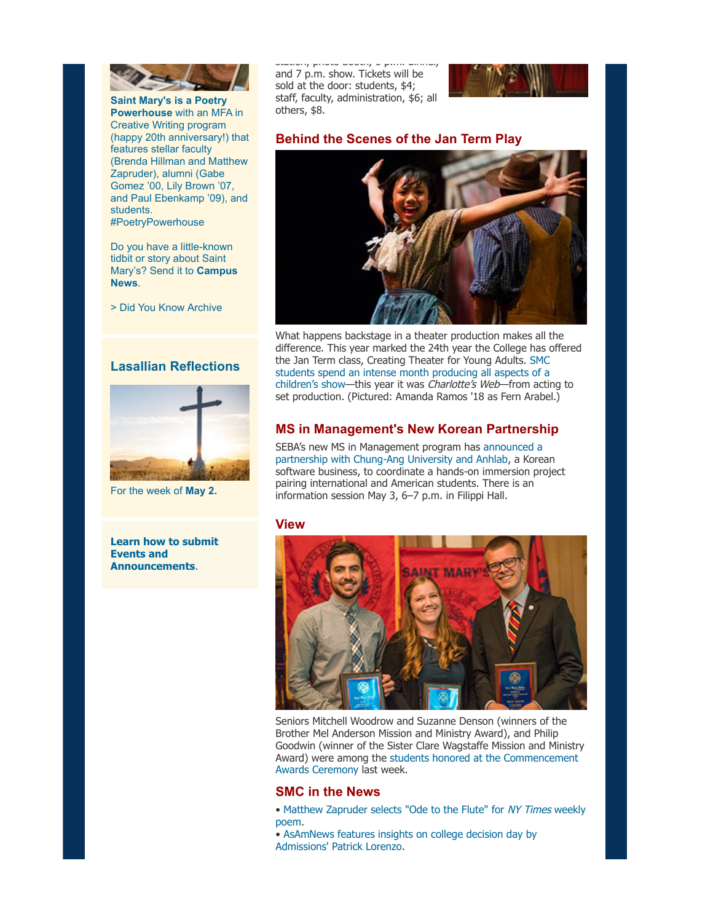

**[Saint Mary's is a Poetry](https://www.stmarys-ca.edu/saint-marys-is-a-poetry-powerhouse?utm_source=Bulletin&utm_medium=email&utm_content=sidebar_staff&utm_campaign=05-02-2016) Powerhouse** with an MFA in Creative Writing program (happy 20th anniversary!) that features stellar faculty (Brenda Hillman and Matthew Zapruder), alumni (Gabe Gomez '00, Lily Brown '07, and Paul Ebenkamp '09), and students. #PoetryPowerhouse

Do you have a little-known tidbit or story about Saint [Mary's? Send it to](mailto:news@stmarys-ca.edu) **Campus News**.

[> Did You Know Archive](http://www.stmarys-ca.edu/smc-bulletin/did-you-know-0?utm_source=Bulletin&utm_medium=email&utm_content=sidebar_staff&utm_campaign=05-02-2016)

### **Lasallian Reflections**



For the week of **[May 2.](http://www.stmarys-ca.edu/living-lasallian/lasallian-reflections?utm_source=Bulletin&utm_medium=email&utm_content=sidebar_staff&utm_campaign=05-02-2016)**

**[Learn how to submit](http://www.stmarys-ca.edu/smc-bulletin/faqs?utm_source=Bulletin&utm_medium=email&utm_content=sidebar_staff&utm_campaign=05-02-2016) Events and Announcements**.

station, photo booth, 6 p.m. dinner, and 7 p.m. show. Tickets will be sold at the door: students, \$4; staff, faculty, administration, \$6; all others, \$8.



# **Behind the Scenes of the Jan Term Play**



What happens backstage in a theater production makes all the difference. This year marked the 24th year the College has offered [the Jan Term class, Creating Theater for Young Adults. SMC](http://www.stmarys-ca.edu/backstage-pass?utm_source=Bulletin&utm_medium=email&utm_content=feature_staff&utm_campaign=05-02-2016) students spend an intense month producing all aspects of a children's show—this year it was Charlotte's Web—from acting to set production. (Pictured: Amanda Ramos '18 as Fern Arabel.)

## **MS in Management's New Korean Partnership**

[SEBA's new MS in Management program has announced a](http://www.stmarys-ca.edu/koreacollab?utm_source=Bulletin&utm_medium=email&utm_content=feature_staff&utm_campaign=05-02-2016) partnership with Chung-Ang University and Anhlab, a Korean software business, to coordinate a hands-on immersion project pairing international and American students. There is an information session May 3, 6–7 p.m. in Filippi Hall.

#### **View**



Seniors Mitchell Woodrow and Suzanne Denson (winners of the Brother Mel Anderson Mission and Ministry Award), and Philip Goodwin (winner of the Sister Clare Wagstaffe Mission and Ministry [Award\) were among the students honored at the Commencement](http://www.stmarys-ca.edu/commencement/undergraduate-commencement/academic-honors-and-awards?utm_source=Bulletin&utm_medium=email&utm_content=feature_staff&utm_campaign=05-02-2016) Awards Ceremony last week.

### **SMC in the News**

- [Matthew Zapruder selects "Ode to the Flute" for](https://www.stmarys-ca.edu/atthew-zapruder-chooses-%E2%80%98ode-to-the-flute%E2%80%99-for-nytimes-weekly-poem?utm_source=Bulletin&utm_medium=email&utm_content=feature_staff&utm_campaign=05-02-2016) NY Times weekly poem.
- [AsAmNews features insights on college decision day by](https://www.stmarys-ca.edu/asamnews-features-insights-on-college-decision-day-by-smc%E2%80%99s-patrick-lorenz?utm_source=Bulletin&utm_medium=email&utm_content=feature_staff&utm_campaign=05-02-2016) Admissions' Patrick Lorenzo.